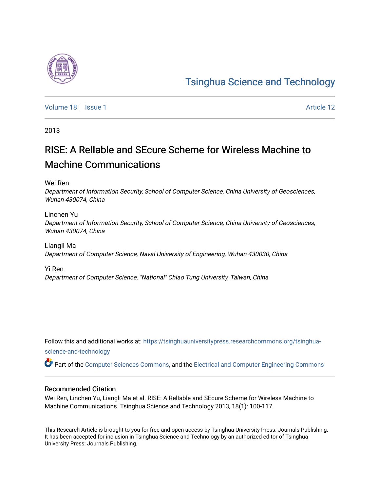## [Tsinghua Science and Technology](https://tsinghuauniversitypress.researchcommons.org/tsinghua-science-and-technology)

[Volume 18](https://tsinghuauniversitypress.researchcommons.org/tsinghua-science-and-technology/vol18) | [Issue 1](https://tsinghuauniversitypress.researchcommons.org/tsinghua-science-and-technology/vol18/iss1) Article 12

2013

# RISE: A RelIable and SEcure Scheme for Wireless Machine to Machine Communications

Wei Ren

Department of Information Security, School of Computer Science, China University of Geosciences, Wuhan 430074, China

Linchen Yu Department of Information Security, School of Computer Science, China University of Geosciences, Wuhan 430074, China

Liangli Ma Department of Computer Science, Naval University of Engineering, Wuhan 430030, China

Yi Ren Department of Computer Science, "National" Chiao Tung University, Taiwan, China

Follow this and additional works at: [https://tsinghuauniversitypress.researchcommons.org/tsinghua](https://tsinghuauniversitypress.researchcommons.org/tsinghua-science-and-technology?utm_source=tsinghuauniversitypress.researchcommons.org%2Ftsinghua-science-and-technology%2Fvol18%2Fiss1%2F12&utm_medium=PDF&utm_campaign=PDFCoverPages)[science-and-technology](https://tsinghuauniversitypress.researchcommons.org/tsinghua-science-and-technology?utm_source=tsinghuauniversitypress.researchcommons.org%2Ftsinghua-science-and-technology%2Fvol18%2Fiss1%2F12&utm_medium=PDF&utm_campaign=PDFCoverPages)

Part of the [Computer Sciences Commons](http://network.bepress.com/hgg/discipline/142?utm_source=tsinghuauniversitypress.researchcommons.org%2Ftsinghua-science-and-technology%2Fvol18%2Fiss1%2F12&utm_medium=PDF&utm_campaign=PDFCoverPages), and the [Electrical and Computer Engineering Commons](http://network.bepress.com/hgg/discipline/266?utm_source=tsinghuauniversitypress.researchcommons.org%2Ftsinghua-science-and-technology%2Fvol18%2Fiss1%2F12&utm_medium=PDF&utm_campaign=PDFCoverPages)

## Recommended Citation

Wei Ren, Linchen Yu, Liangli Ma et al. RISE: A RelIable and SEcure Scheme for Wireless Machine to Machine Communications. Tsinghua Science and Technology 2013, 18(1): 100-117.

This Research Article is brought to you for free and open access by Tsinghua University Press: Journals Publishing. It has been accepted for inclusion in Tsinghua Science and Technology by an authorized editor of Tsinghua University Press: Journals Publishing.

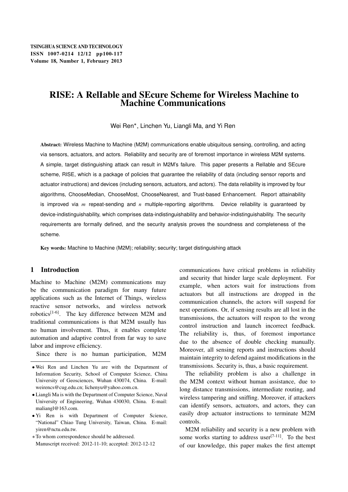## RISE: A RelIable and SEcure Scheme for Wireless Machine to Machine Communications

Wei Ren , Linchen Yu, Liangli Ma, and Yi Ren

Abstract: Wireless Machine to Machine (M2M) communications enable ubiquitous sensing, controlling, and acting via sensors, actuators, and actors. Reliability and security are of foremost importance in wireless M2M systems. A simple, target distinguishing attack can result in M2M's failure. This paper presents a RelIable and SEcure scheme, RISE, which is a package of policies that guarantee the reliability of data (including sensor reports and actuator instructions) and devices (including sensors, actuators, and actors). The data reliability is improved by four algorithms, ChooseMedian, ChooseMost, ChooseNearest, and Trust-based Enhancement. Report attainability is improved via  $m$  repeat-sending and  $n$  multiple-reporting algorithms. Device reliability is guaranteed by device-indistinguishability, which comprises data-indistinguishability and behavior-indistinguishability. The security requirements are formally defined, and the security analysis proves the soundness and completeness of the scheme.

Key words: Machine to Machine (M2M); reliability; security; target distinguishing attack

## 1 Introduction

Machine to Machine (M2M) communications may be the communication paradigm for many future applications such as the Internet of Things, wireless reactive sensor networks, and wireless network robotics[1-6]. The key difference between M2M and traditional communications is that M2M usually has no human involvement. Thus, it enables complete automation and adaptive control from far way to save labor and improve efficiency.

Since there is no human participation, M2M

- Liangli Ma is with the Department of Computer Science, Naval University of Engineering, Wuhan 430030, China. E-mail: maliangl@163.com.
- Yi Ren is with Department of Computer Science, "National" Chiao Tung University, Taiwan, China. E-mail: yiren@nctu.edu.tw.
- To whom correspondence should be addressed. Manuscript received: 2012-11-10; accepted: 2012-12-12

communications have critical problems in reliability and security that hinder large scale deployment. For example, when actors wait for instructions from actuators but all instructions are dropped in the communication channels, the actors will suspend for next operations. Or, if sensing results are all lost in the transmissions, the actuators will respon to the wrong control instruction and launch incorrect feedback. The reliability is, thus, of foremost importance due to the absence of double checking manually. Moreover, all sensing reports and instructions should maintain integrity to defend against modifications in the transmissions. Security is, thus, a basic requirement.

The reliability problem is also a challenge in the M2M context without human assistance, due to long distance transmissions, intermediate routing, and wireless tampering and sniffing. Moreover, if attackers can identify sensors, actuators, and actors, they can easily drop actuator instructions to terminate M2M controls.

M2M reliability and security is a new problem with some works starting to address user $[7-11]$ . To the best of our knowledge, this paper makes the first attempt

Wei Ren and Linchen Yu are with the Department of Information Security, School of Computer Science, China University of Geosciences, Wuhan 430074, China. E-mail: weirencs@cug.edu.cn; lichenyu@yahoo.com.cn.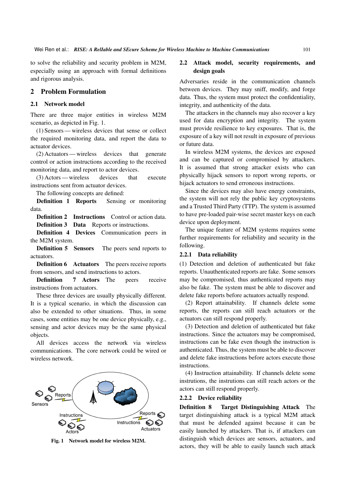to solve the reliability and security problem in M2M, especially using an approach with formal definitions and rigorous analysis.

#### 2 Problem Formulation

#### 2.1 Network model

There are three major entities in wireless M2M scenario, as depicted in Fig. 1.

(1) Sensors— wireless devices that sense or collect the required monitoring data, and report the data to actuator devices.

(2) Actuators— wireless devices that generate control or action instructions according to the received monitoring data, and report to actor devices.

(3) Actors— wireless devices that execute instructions sent from actuator devices.

The following concepts are defined:

Definition 1 Reports Sensing or monitoring data.

Definition 2 Instructions Control or action data.

Definition 3 Data Reports or instructions.

Definition 4 Devices Communication peers in the M2M system.

Definition 5 Sensors The peers send reports to actuators.

Definition 6 Actuators The peers receive reports from sensors, and send instructions to actors.

Definition 7 Actors The peers receive instructions from actuators.

These three devices are usually physically different. It is a typical scenario, in which the discussion can also be extended to other situations. Thus, in some cases, some entities may be one device physically, e.g., sensing and actor devices may be the same physical objects.

All devices access the network via wireless communications. The core network could be wired or wireless network.



Fig. 1 Network model for wireless M2M.

#### 2.2 Attack model, security requirements, and design goals

Adversaries reside in the communication channels between devices. They may sniff, modify, and forge data. Thus, the system must protect the confidentiality, integrity, and authenticity of the data.

The attackers in the channels may also recover a key used for data encryption and integrity. The system must provide resilience to key exposures. That is, the exposure of a key will not result in exposure of previous or future data.

In wireless M2M systems, the devices are exposed and can be captured or compromised by attackers. It is assumed that strong attacker exists who can physically hijack sensors to report wrong reports, or hijack actuators to send erroneous instructions.

Since the devices may also have energy constraints, the system will not rely the public key cryptosystems and a Trusted Third Party (TTP). The system is assumed to have pre-loaded pair-wise secret master keys on each device upon deployment.

The unique feature of M2M systems requires some further requirements for reliability and security in the following.

#### 2.2.1 Data reliability

(1) Detection and deletion of authenticated but fake reports. Unauthenticated reports are fake. Some sensors may be compromised, thus authenticated reports may also be fake. The system must be able to discover and delete fake reports before actuators actually respond.

(2) Report attainability. If channels delete some reports, the reports can still reach actuators or the actuators can still respond properly.

(3) Detection and deletion of authenticated but fake instructions. Since the actuators may be compromised, instructions can be fake even though the instruction is authenticated. Thus, the system must be able to discover and delete fake instructions before actors execute those instructions.

(4) Instruction attainability. If channels delete some instrutions, the instrutions can still reach actors or the actors can still respond properly.

#### 2.2.2 Device reliability

Definition 8 Target Distinguishing Attack The target distinguishing attack is a typical M2M attack that must be defended against because it can be easily launched by attackers. That is, if attackers can distinguish which devices are sensors, actuators, and actors, they will be able to easily launch such attack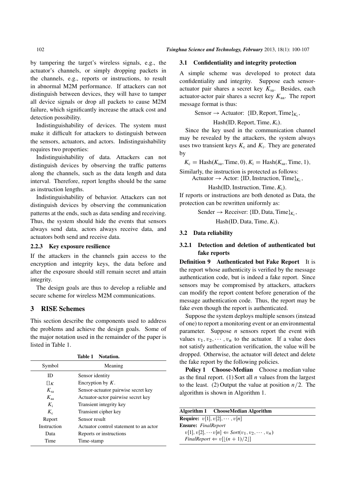by tampering the target's wireless signals, e.g., the actuator's channels, or simply dropping packets in the channels, e.g., reports or instructions, to result in abnormal M2M performance. If attackers can not distinguish between devices, they will have to tamper all device signals or drop all packets to cause M2M failure, which significantly increase the attack cost and detection possibility.

Indistinguishability of devices. The system must make it difficult for attackers to distinguish between the sensors, actuators, and actors. Indistinguishability requires two properties:

Indistinguishability of data. Attackers can not distinguish devices by observing the traffic patterns along the channels, such as the data length and data interval. Therefore, report lengths should be the same as instruction lengths.

Indistinguishability of behavior. Attackers can not distinguish devices by observing the communication patterns at the ends, such as data sending and receiving. Thus, the system should hide the events that sensors always send data, actors always receive data, and actuators both send and receive data.

### 2.2.3 Key exposure resilience

If the attackers in the channels gain access to the encryption and integrity keys, the data before and after the exposure should still remain secret and attain integrity.

The design goals are thus to develop a reliable and secure scheme for wireless M2M communications.

## 3 RISE Schemes

This section describe the components used to address the problems and achieve the design goals. Some of the major notation used in the remainder of the paper is listed in Table 1.

|             | Table 1 Notation.                      |
|-------------|----------------------------------------|
| Symbol      | Meaning                                |
| ID          | Sensor identity                        |
| $\{ \}K$    | Encryption by $K$ .                    |
| $K_{sa}$    | Sensor-actuator pairwise secret key    |
| $K_{33}$    | Actuator-actor pairwise secret key     |
| $K_i$       | Transient integrity key                |
| $K_{c}$     | Transient cipher key                   |
| Report      | Sensor result                          |
| Instruction | Actuator control statement to an actor |
| Data        | Reports or instructions                |
| Time        | Time-stamp                             |

#### 3.1 Confidentiality and integrity protection

A simple scheme was developed to protect data confidentiality and integrity. Suppose each sensoractuator pair shares a secret key  $K_{sa}$ . Besides, each actuator-actor pair shares a secret key  $K_{aa}$ . The report message format is thus:

Sensor  $\rightarrow$  Actuator: {ID, Report, Time}<sub> $K_c$ </sub>,

Hash(ID, Report, Time,  $K_i$ ).

Since the key used in the communication channel may be revealed by the attackers, the system always uses two transient keys  $K_c$  and  $K_i$ . They are generated by

 $K_c =$  Hash $(K_{sa},$  Time, 0),  $K_i =$  Hash $(K_{sa},$  Time, 1),

Similarly, the instruction is protected as follows:

Actuator  $\rightarrow$  Actor: {ID}, Instruction, Time}<sub>*K<sub>c</sub></sub>*,</sub>

Hash $(ID, Instruction, Time,  $K_i$ ).$ 

If reports or instructions are both denoted as Data, the protection can be rewritten uniformly as:

Sender  $\rightarrow$  Receiver: {ID, Data, Time} $_{K_c}$ ,

Hash $(ID, Data, Time, K_i)$ .

#### 3.2 Data reliability

### 3.2.1 Detection and deletion of authenticated but fake reports

Definition 9 Authenticated but Fake Report It is the report whose authenticity is verified by the message authentication code, but is indeed a fake report. Since sensors may be compromised by attackers, attackers can modify the report content before generation of the message authentication code. Thus, the report may be fake even though the report is authenticated.

Suppose the system deploys multiple sensors (instead of one) to report a monitoring event or an environmental parameter. Suppose  $n$  sensors report the event with values  $v_1, v_2, \dots, v_n$  to the actuator. If a value does not satisfy authentication verification, the value will be dropped. Otherwise, the actuator will detect and delete the fake report by the following policies.

Policy 1 Choose-Median Choose a median value as the final report. (1) Sort all  $n$  values from the largest to the least. (2) Output the value at position  $n/2$ . The algorithm is shown in Algorithm 1.

|                                            | Algorithm 1 ChooseMedian Algorithm                               |
|--------------------------------------------|------------------------------------------------------------------|
| <b>Require:</b> $v[1], v[2], \cdots, v[n]$ |                                                                  |
| <b>Ensure:</b> FinalReport                 |                                                                  |
|                                            | $v[1], v[2], \cdots v[n] \leftarrow Sort(v_1, v_2, \cdots, v_n)$ |
|                                            | $FinalReport \Leftarrow v[ (n+1)/2 ]$                            |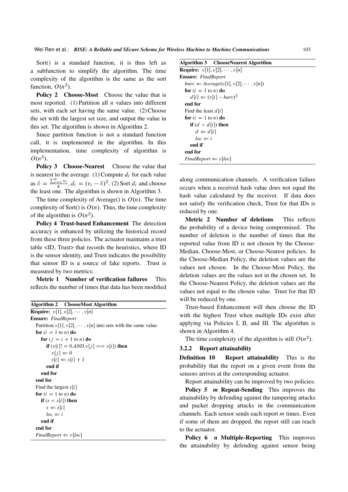Sort() is a standard function, it is thus left as a subfunction to simplify the algorithm. The time complexity of the algorithm is the same as the sort function,  $O(n^2)$ .

Policy 2 Choose-Most Choose the value that is most reported. (1) Partition all  $n$  values into different sets, with each set having the same value. (2) Choose the set with the largest set size, and output the value in this set. The algorithm is shown in Algorithm 2.

Since partition function is not a standard function call, it is implemented in the algorithm. In this implementation, time complexity of algorithm is  $O(n^2)$ .

Policy 3 Choose-Nearest Choose the value that is nearest to the average. (1) Compute  $d_i$  for each value as  $\bar{v} = \frac{\sum_{i=1}^{n} v_i}{n}$  $\frac{q_i - v_i}{n}$ ,  $d_i = (v_i - \bar{v})^2$ . (2) Sort  $d_i$  and choose the least one. The algorithm is shown in Algorithm 3.

The time complexity of Average() is  $O(n)$ . The time complexity of Sort() is  $O(n)$ . Thus, the time complexity of the algorithm is  $O(n^2)$ .

Policy 4 Trust-based Enhancement The detection accuracy is enhanced by utilizing the historical record from these three policies. The actuator maintains a trust table <ID, Trust> that records the heuristics, where ID is the sensor identity, and Trust indicates the possibility that sensor ID is a source of fake reports. Trust is measured by two metrics:

Metric 1 Number of verification failures This reflects the number of times that data has been modified

|                                 | <b>Algorithm 2</b> ChooseMost Algorithm                            |
|---------------------------------|--------------------------------------------------------------------|
|                                 | <b>Require:</b> $v[1], v[2], \cdots, v[n]$                         |
| <b>Ensure:</b> FinalReport      |                                                                    |
|                                 | Partition $v[1], v[2], \dots, v[n]$ into sets with the same value. |
| for $(i = 1$ to n) do           |                                                                    |
|                                 | for $(j = i + 1$ to <i>n</i> ) do                                  |
|                                 | <b>if</b> $(v[i]! = 0. \text{AND}.v[j] == v[i])$ then              |
|                                 | $v[i] \Leftarrow 0$                                                |
|                                 | $s[i] \leftarrow s[i] + 1$                                         |
| end if                          |                                                                    |
| end for                         |                                                                    |
| end for                         |                                                                    |
| Find the largest $s[i]$         |                                                                    |
| for $(i = 1$ to n) do           |                                                                    |
| if $(s < s[i])$ then            |                                                                    |
| $s \leftarrow s[i]$             |                                                                    |
| $loc \Leftarrow i$              |                                                                    |
| end if                          |                                                                    |
| end for                         |                                                                    |
| $FinalReport \Leftarrow v loc $ |                                                                    |

|  | Algorithm 3 | <b>ChooseNearest Algorithm</b> |  |
|--|-------------|--------------------------------|--|
|--|-------------|--------------------------------|--|

**Require:**  $v[1], v[2], \cdots, v[n]$ Ensure: *FinalReport*  $\text{barv} \leftarrow \text{Average}(v[1], v[2], \cdots, v[n])$ for  $(i = 1$  to n) do  $d[i] \leftarrow (v[i] - barv)^2$ end for Find the least  $d[i]$ for  $(i = 1$  to n) do if  $(d > d[i])$  then  $d \Leftarrow d[i]$  $loc \Leftarrow i$ end if end for *FinalReport*  $\Leftarrow$  *v*[*loc*]

along communication channels. A verification failure occurs when a received hash value does not equal the hash value calculated by the receiver. If data does not satisfy the verification check, Trust for that IDs is reduced by one.

Metric 2 Number of deletions This reflects the probability of a device being compromised. The number of deletion is the number of times that the reported value from ID is not chosen by the Choose-Median, Choose-Most, or Choose-Nearest policies. In the Choose-Median Policy, the deletion values are the values not chosen. In the Choose-Most Policy, the deletion values are the values not in the chosen set. In the Choose-Nearest Policy, the deletion values are the values not equal to the chosen value. Trust for that ID will be reduced by one.

Trust-based Enhancement will then choose the ID with the highest Trust when multiple IDs exist after applying via Policies I, II, and III. The algorithm is shown in Algorithm 4.

The time complexity of the algorithm is still  $O(n^2)$ .

#### 3.2.2 Report attainability

Definition 10 Report attainability This is the probability that the report on a given event from the sensors arrives at the corresponding actuator.

Report attainability can be improved by two policies:

Policy 5 *m* Repeat-Sending This improves the attainability by defending against the tampering attacks and packet dropping attacks in the communication channels. Each sensor sends each report  $m$  times. Even if some of them are dropped, the report still can reach to the actuator.

Policy 6 *n* Multiple-Reporting This improves the attainability by defending against sensor being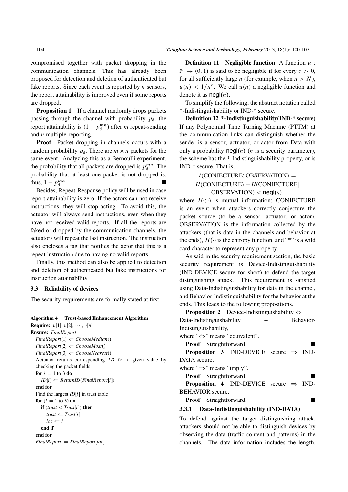compromised together with packet dropping in the communication channels. This has already been proposed for detection and deletion of authenticated but fake reports. Since each event is reported by  $n$  sensors, the report attainability is improved even if some reports are dropped.

**Proposition 1** If a channel randomly drops packets passing through the channel with probability  $p_d$ , the report attainability is  $(1 - p_d^{mn})$  after *m* repeat-sending and  $n$  multiple-reporting.

Proof Packet dropping in channels occurs with a random probability  $p_d$ . There are  $m \times n$  packets for the same event. Analyzing this as a Bernoulli experiment, the probability that all packets are dropped is  $p_d^{mn}$ . The probability that at least one packet is not dropped is, thus,  $1 - p_d^{mn}$ .

Besides, Repeat-Response policy will be used in case report attainability is zero. If the actors can not receive instructions, they will stop acting. To avoid this, the actuator will always send instructions, even when they have not received valid reports. If all the reports are faked or dropped by the communication channels, the actuators will repeat the last instruction. The instruction also encloses a tag that notifies the actor that this is a repeat instruction due to having no valid reports.

Finally, this method can also be applied to detection and deletion of authenticated but fake instructions for instruction attainability.

#### 3.3 Reliability of devices

The security requirements are formally stated at first.

|                                            | <b>Algorithm 4 Trust-based Enhancement Algorithm</b>              |  |
|--------------------------------------------|-------------------------------------------------------------------|--|
| <b>Require:</b> $v[1], v[2], \cdots, v[n]$ |                                                                   |  |
| <b>Ensure:</b> FinalReport                 |                                                                   |  |
|                                            | $FinalReport[1] \leftarrow ChooseMedian()$                        |  |
|                                            | $FinalReport[2] \leftarrow ChooseMost()$                          |  |
|                                            | $FinalReport[3] \leftarrow ChooseNearest()$                       |  |
|                                            | Actuator returns corresponding <i>ID</i> for a given value by     |  |
|                                            | checking the packet fields                                        |  |
| for $i = 1$ to 3 do                        |                                                                   |  |
|                                            | $ID[i] \leftarrow ReturnID(FinalReport[i])$                       |  |
| end for                                    |                                                                   |  |
|                                            | Find the largest $ID[i]$ in trust table                           |  |
| for $(i = 1$ to 3) do                      |                                                                   |  |
|                                            | <b>if</b> ( <i>trust</i> < <i>Trust</i> [ <i>i</i> ]) <b>then</b> |  |
|                                            | $trust \leftarrow Trust[i]$                                       |  |
| $loc \Leftarrow i$                         |                                                                   |  |
| end if                                     |                                                                   |  |
| end for                                    |                                                                   |  |
|                                            | $FinalReport \Leftarrow FinalReport loc $                         |  |
|                                            |                                                                   |  |

**Definition 11 Negligible function** A function  $u$ :  $\mathbb{N} \to (0, 1)$  is said to be negligible if for every  $c > 0$ , for all sufficiently large *n* (for example, when  $n > N$ ),  $u(n) < 1/n^c$ . We call  $u(n)$  a negligible function and denote it as  $neq(n)$ .

To simplify the following, the abstract notation called \*-Indistinguishability or IND-\* secure.

Definition 12 \*-Indistinguishability(IND-\* secure) If any Polynomial Time Turning Machine (PTTM) at the communication links can distinguish whether the sender is a sensor, actuator, or actor from Data with only a probability  $\text{negl}(n)$  (*n* is a security parameter), the scheme has the \*-Indistinguishability property, or is IND-\* secure. That is,

## $I$ (CONJECTURE; OBSERVATION) = *H*.CONJECTURE/ *H*.CONJECTUREj  $OBSERVATION$  <  $negl(n)$ ,

where  $I(\cdot; \cdot)$  is mutual information; CONJECTURE is an event when attackers correctly conjecture the packet source (to be a sensor, actuator, or actor), OBSERVATION is the information collected by the attackers (that is data in the channels and behavior at the ends),  $H(\cdot)$  is the entropy function, and "\*" is a wild card character to represent any property.

As said in the security requirement section, the basic security requirement is Device-Indistinguishability (IND-DEVICE secure for short) to defend the target distinguishing attack. This requirement is satisfied using Data-Indistinguishability for data in the channel, and Behavior-Indistinguishability for the behavior at the ends. This leads to the following propositions.

| <b>Proposition 2</b> Device-Indistinguishability $\Leftrightarrow$ |  |  |  |  |
|--------------------------------------------------------------------|--|--|--|--|
| Data-Indistinguishability<br>Behavior-<br>$+$                      |  |  |  |  |
| Indistinguishability,                                              |  |  |  |  |
| where " $\Leftrightarrow$ " means "equivalent".                    |  |  |  |  |
| <b>Proof</b> Straightforward.                                      |  |  |  |  |
| <b>Proposition 3</b> IND-DEVICE secure $\Rightarrow$ IND-          |  |  |  |  |
| DATA secure.                                                       |  |  |  |  |
| where " $\Rightarrow$ " means "imply".                             |  |  |  |  |
| <b>Proof</b> Straightforward.                                      |  |  |  |  |
| <b>Proposition 4</b> IND-DEVICE secure $\Rightarrow$ IND-          |  |  |  |  |
| <b>BEHAVIOR</b> secure.                                            |  |  |  |  |
| <b>Proof</b> Straightforward.                                      |  |  |  |  |
| 3.3.1 Data-Indistinguishability (IND-DATA)                         |  |  |  |  |
| To defend against the target distinguishing attack,                |  |  |  |  |
| attackers should not be able to distinguish devices by             |  |  |  |  |

attackers should not be able to distinguish devices by observing the data (traffic content and patterns) in the channels. The data information includes the length,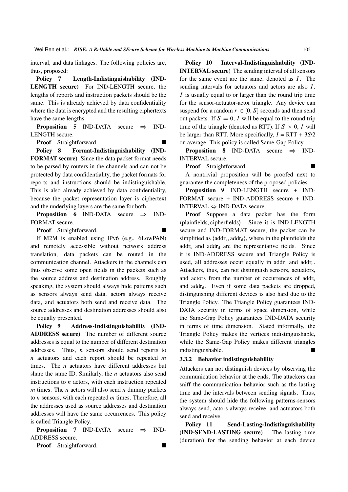interval, and data linkages. The following policies are, thus, proposed:

Policy 7 Length-Indistinguishability (IND-LENGTH secure) For IND-LENGTH secure, the lengths of reports and instruction packets should be the same. This is already achieved by data confidentiality where the data is encrypted and the resulting ciphertexts have the same lengths.

**Proposition 5** IND-DATA secure  $\Rightarrow$  IND-LENGTH secure.

Proof Straightforward.

Policy 8 Format-Indistinguishability (IND-FORMAT secure) Since the data packet format needs to be parsed by routers in the channels and can not be protected by data confidentiality, the packet formats for reports and instructions should be indistinguishable. This is also already achieved by data confidentiality, because the packet representation layer is ciphertext and the underlying layers are the same for both.

**Proposition 6** IND-DATA secure  $\Rightarrow$  IND-FORMAT secure.

Proof Straightforward.

If M2M is enabled using IPv6 (e.g., 6LowPAN) and remotely accessible without network address translation, data packets can be routed in the communication channel. Attackers in the channels can thus observe some open fields in the packets such as the source address and destination address. Roughly speaking, the system should always hide patterns such as sensors always send data, actors always receive data, and actuators both send and receive data. The source addresses and destination addresses should also be equally presented.

Policy 9 Address-Indistinguishability (IND-ADDRESS secure) The number of different source addresses is equal to the number of different destination addresses. Thus,  $n$  sensors should send reports to  $n$  actuators and each report should be repeated  $m$ times. The *n* actuators have different addresses but share the same ID. Similarly, the  $n$  actuators also send instructions to  $n$  actors, with each instruction repeated  $m$  times. The  $n$  actors will also send  $n$  dummy packets to  $n$  sensors, with each repeated  $m$  times. Therefore, all the addresses used as source addresses and destination addresses will have the same occurrences. This policy is called Triangle Policy.

**Proposition 7** IND-DATA secure  $\Rightarrow$  IND-ADDRESS secure.

Proof Straightforward.

Policy 10 Interval-Indistinguishability (IND-INTERVAL secure) The sending interval of all sensors for the same event are the same, denoted as  $I$ . The sending intervals for actuators and actors are also I. I is usually equal to or larger than the round trip time for the sensor-actuator-actor triangle. Any device can suspend for a random  $r \in [0, S]$  seconds and then send out packets. If  $S = 0$ , I will be equal to the round trip time of the triangle (denoted as RTT). If  $S > 0$ , I will be larger than RTT. More specifically,  $I = RTT + 3S/2$ on average. This policy is called Same-Gap Policy.

**Proposition 8** IND-DATA secure  $\Rightarrow$  IND-INTERVAL secure.

Proof Straightforward.

A nontrivial proposition will be proofed next to guarantee the completeness of the proposed policies.

Proposition 9 IND-LENGTH secure + IND-FORMAT secure + IND-ADDRESS secure + IND-INTERVAL  $\Leftrightarrow$  IND-DATA secure.

Proof Suppose a data packet has the form (plainfields, cipherfields). Since it is IND-LENGTH secure and IND-FORMAT secure, the packet can be simplified as  $\langle \text{addr}_s, \text{addr}_d \rangle$ , where in the plainfields the  $\text{addr}_s$  and  $\text{addr}_d$  are the representative fields. Since it is IND-ADDRESS secure and Triangle Policy is used, all addresses occur equally in addr<sub>s</sub> and addr<sub>d</sub>. Attackers, thus, can not distinguish sensors, actuators, and actors from the number of occurrences of addr<sub>s</sub> and  $\text{addr}_d$ . Even if some data packets are dropped, distinguishing different devices is also hard due to the Triangle Policy. The Triangle Policy guarantees IND-DATA security in terms of space dimension, while the Same-Gap Policy guarantees IND-DATA security in terms of time dimension. Stated informally, the Triangle Policy makes the vertices indistinguishable, while the Same-Gap Policy makes different triangles indistinguishable.

#### 3.3.2 Behavior indistinguishability

Attackers can not distinguish devices by observing the communication behavior at the ends. The attackers can sniff the communication behavior such as the lasting time and the intervals between sending signals. Thus, the system should hide the following patterns-sensors always send, actors always receive, and actuators both send and receive.

Policy 11 Send-Lasting-Indistinguishability (IND-SEND-LASTING secure) The lasting time (duration) for the sending behavior at each device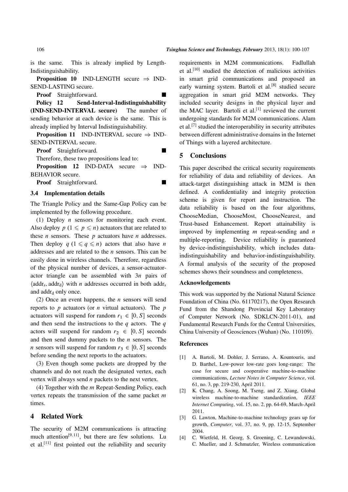is the same. This is already implied by Length-Indistinguishability.

**Proposition 10** IND-LENGTH secure  $\Rightarrow$  IND-SEND-LASTING secure.

Proof Straightforward.

Policy 12 Send-Interval-Indistinguishability (IND-SEND-INTERVAL secure) The number of sending behavior at each device is the same. This is already implied by Interval Indistinguishability.

**Proposition 11** IND-INTERVAL secure  $\Rightarrow$  IND-SEND-INTERVAL secure.

**Proof** Straightforward.

Therefore, these two propositions lead to:

**Proposition 12** IND-DATA secure  $\Rightarrow$  IND-BEHAVIOR secure.

**Proof** Straightforward.

#### 3.4 Implementation details

The Triangle Policy and the Same-Gap Policy can be implemented by the following procedure.

(1) Deploy  $n$  sensors for monitoring each event. Also deploy  $p(1 \leq p \leq n)$  actuators that are related to these *n* sensors. These *p* actuators have *n* addresses. Then deploy  $q$   $(1 \leq q \leq n)$  actors that also have n addresses and are related to the  $n$  sensors. This can be easily done in wireless channels. Therefore, regardless of the physical number of devices, a sensor-actuatoractor triangle can be assembled with  $3n$  pairs of  $\langle \text{addr}_s, \text{addr}_d \rangle$  with *n* addresses occurred in both addr<sub>s</sub> and addr<sub>d</sub> only once.

(2) Once an event happens, the *n* sensors will send reports to  $p$  actuators (or  $n$  virtual actuators). The  $p$ actuators will suspend for random  $r_1 \in [0, S]$  seconds and then send the instructions to the  $q$  actors. The  $q$ actors will suspend for random  $r_2 \in [0, S]$  seconds and then send dummy packets to the  $n$  sensors. The *n* sensors will suspend for random  $r_3 \in [0, S]$  seconds before sending the next reports to the actuators.

(3) Even though some packets are dropped by the channels and do not reach the designated vertex, each vertex will always send  $n$  packets to the next vertex.

(4) Together with the  $m$  Repeat-Sending Policy, each vertex repeats the transmission of the same packet  $m$ times.

#### 4 Related Work

The security of M2M communications is attracting much attention<sup>[9, 11]</sup>, but there are few solutions. Lu et al.<sup>[11]</sup> first pointed out the reliability and security requirements in M2M communications. Fadlullah et al.[10] studied the detection of malicious activities in smart grid communications and proposed an early warning system. Bartoli et al.<sup>[8]</sup> studied secure aggregation in smart grid M2M networks. They included security designs in the physical layer and the MAC layer. Bartoli et al.<sup>[1]</sup> reviewed the current undergoing standards for M2M communications. Alam et al.[7] studied the interoperability in security attributes between different administrative domains in the Internet of Things with a layered architecture.

#### 5 Conclusions

This paper described the critical security requirements for reliability of data and reliability of devices. An attack-target distinguishing attack in M2M is then defined. A confidentiality and integrity protection scheme is given for report and instruction. The data reliability is based on the four algorithms, ChooseMedian, ChooseMost, ChooseNearest, and Trust-based Enhancement. Report attainability is improved by implementing  $m$  repeat-sending and  $n$ multiple-reporting. Device reliability is guaranteed by device-indistinguishability, which includes dataindistinguishability and behavior-indistinguishability. A formal analysis of the security of the proposed schemes shows their soundness and completeness.

#### Acknowledgements

This work was supported by the National Natural Science Foundation of China (No. 61170217), the Open Research Fund from the Shandong Provincial Key Laboratory of Computer Network (No. SDKLCN-2011-01), and Fundamental Research Funds for the Central Universities, China University of Geosciences (Wuhan) (No. 110109).

#### References

- [1] A. Bartoli, M. Dohler, J. Serrano, A. Kountouris, and D. Barthel, Low-power low-rate goes long-range: The case for secure and cooperative machine-to-machine communications, *Lecture Notes in Computer Science*, vol. 61, no. 3, pp. 219-230, April 2011.
- [2] K. Chang, A. Soong, M. Tseng, and Z. Xiang, Global wireless machine-to-machine standardization, *IEEE Internet Computing*, vol. 15, no. 2, pp. 64-69, March-April 2011.
- [3] G. Lawton, Machine-to-machine technology gears up for growth, *Computer*, vol. 37, no. 9, pp. 12-15, September 2004.
- [4] C. Wietfeld, H. Georg, S. Groening, C. Lewandowski, C. Mueller, and J. Schmutzler, Wireless communication